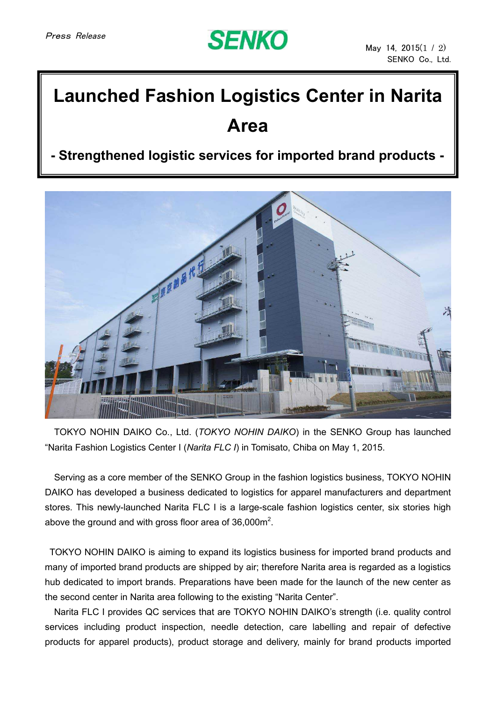

## **Launched Fashion Logistics Center in Narita Area**

## **- Strengthened logistic services for imported brand products -**



TOKYO NOHIN DAIKO Co., Ltd. (*TOKYO NOHIN DAIKO*) in the SENKO Group has launched "Narita Fashion Logistics Center I (*Narita FLC I*) in Tomisato, Chiba on May 1, 2015.

Serving as a core member of the SENKO Group in the fashion logistics business, TOKYO NOHIN DAIKO has developed a business dedicated to logistics for apparel manufacturers and department stores. This newly-launched Narita FLC I is a large-scale fashion logistics center, six stories high above the ground and with gross floor area of 36,000 $m^2$ .

TOKYO NOHIN DAIKO is aiming to expand its logistics business for imported brand products and many of imported brand products are shipped by air; therefore Narita area is regarded as a logistics hub dedicated to import brands. Preparations have been made for the launch of the new center as the second center in Narita area following to the existing "Narita Center".

Narita FLC I provides QC services that are TOKYO NOHIN DAIKO's strength (i.e. quality control services including product inspection, needle detection, care labelling and repair of defective products for apparel products), product storage and delivery, mainly for brand products imported